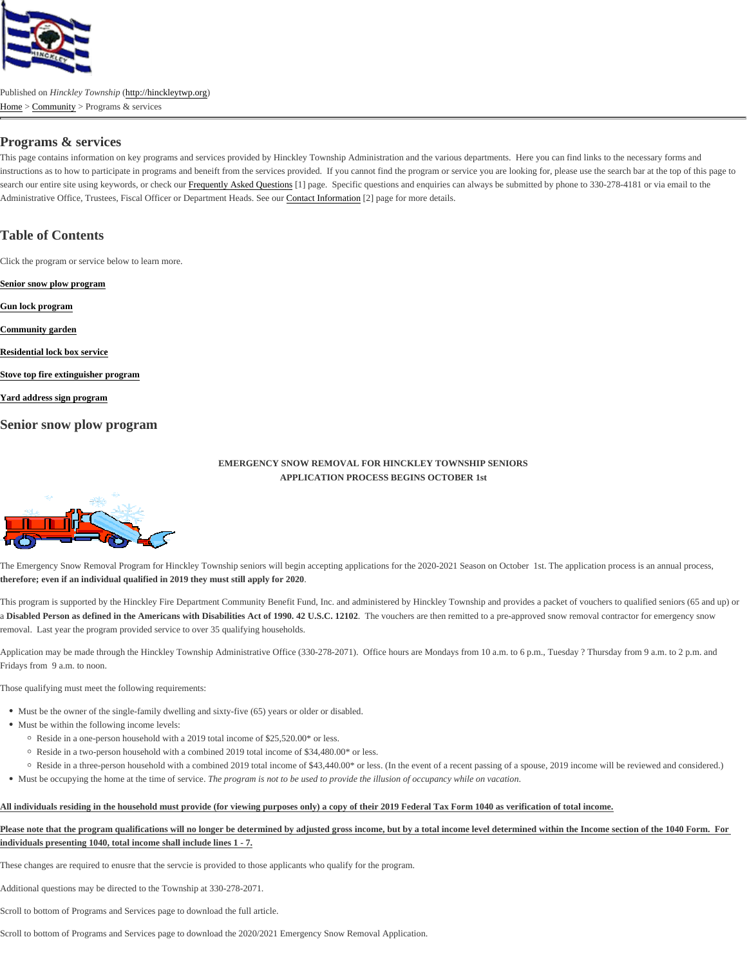## Programs & services

This page contains information on key programs and services provided by Hinckley Township Administration and the various departments. Here you can find links to the necessary form instructions as to how to participate in programs and beneift from the services provided. If you cannot find the program or service you are looking for, please use the search bar at the to search our entire site using keywords, or check **Foequently Asked Questions ange.** Specific questions and enquiries can always be submitted by phone to 330-278-4181 or via email to the Administrative Office, Trustees, Fiscal Officer or Department Heads. Secontact Information<sup>[2]</sup> page for more details.

## Table of Contents

Click the program or service below to learn more.

Senior snow plow program

Gun lock program

Community garden

Residential lock box service

Stove top fire extinguisher program

Yard address sign program

Senior snow plow program

#### EMERGENCY SNOW REMOVAL FOR HINCKLEY TOWNSHIP SENIORS APPLICATION PROCESS BEGINS OCTOBER 1st

The Emergency Snow Removal Program for Hinckley Township seniors will begin accepting applications for the 2020-2021 Season on October 1st. The application process is an annual therefore; even if an individual qualified in 2019 they must still apply for 2020.

This program is supported by the Hinckley Fire Department Community Benefit Fund, Inc. and administered by Hinckley Township and provides a packet of vouchers to qualified seniors a Disabled Person as defined in the Americans with Disabilities Act of 1990. 42 U.S.C. 12102e vouchers are then remitted to a pre-approved snow removal contractor for emergency snow removal. Last year the program provided service to over 35 qualifying households.

Application may be made through the Hinckley Township Administrative Office (330-278-2071). Office hours are Mondays from 10 a.m. to 6 p.m., Tuesday ? Thursday from 9 a.m. to 2 Fridays from 9 a.m. to noon.

Those qualifying must meet the following requirements:

- Must be the owner of the single-family dwelling and sixty-five (65) years or older or disabled.
- Must be within the following income levels:
	- Reside in a one-person household with a 2019 total income of \$25,520.00\* or less.
	- Reside in a two-person household with a combined 2019 total income of \$34,480.00<sup>\*</sup> or less.
- <sup>o</sup> Reside in a three-person household with a combined 2019 total income of \$43,440.00\*(for the sevent of a recent passing of a spouse, 2019 income will be reviewed and consider • Must be occupying the home at the time of service program is not to be used to provide ithusion of occupancy while on vacation

All individuals residing in the household must provide (for viewing purposes only) a copy of their 2019 Federal Tax Form 1040 as verification of total income.

Please note that the program qualifications will no longer be determined by adjusted gross income, but by a total income level determined within the Income section of the 1040 Form. F individuals presenting 1040, total income shall include lines 1 - 7.

These changes are required to enusre that the servcie is provided to those applicants who qualify for the program.

Additional questions may be directed to the Township at 330-278-2071.

Scroll to bottom of Programs and Services page to download the full article.

Scroll to bottom of Programs and Services page to download the 2020/2021 Emergency Snow Removal Application.